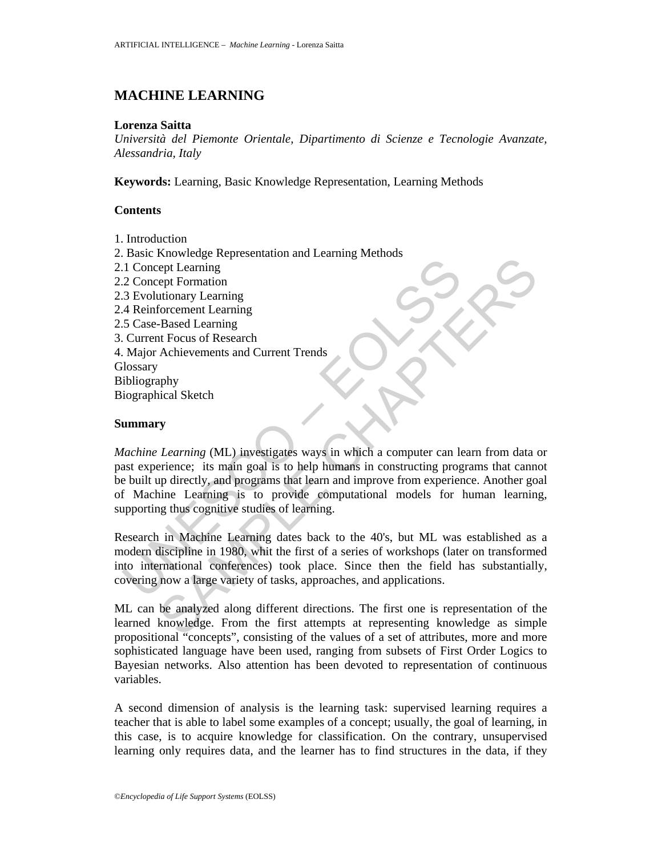# **MACHINE LEARNING**

#### **Lorenza Saitta**

*Università del Piemonte Orientale, Dipartimento di Scienze e Tecnologie Avanzate, Alessandria, Italy* 

**Keywords:** Learning, Basic Knowledge Representation, Learning Methods

## **Contents**

- 1. Introduction
- 2. Basic Knowledge Representation and Learning Methods
- 2.1 Concept Learning
- 1. Concept Learning<br>
2. Concept Learning<br>
2. Concept Formation<br>
3. Evolutionary Learning<br>
4. Reinforcement Learning<br>
5. Gase-Based Learning<br>
5. Gase-Based Learning<br>
1. Major Achievements and Current Trends<br>
1. Major Achiev 2.2 Concept Formation 2.3 Evolutionary Learning 2.4 Reinforcement Learning 2.5 Case-Based Learning 3. Current Focus of Research 4. Major Achievements and Current Trends **Glossary** Bibliography Biographical Sketch

## **Summary**

The Working relationship and Current Trends<br>
rept Learning<br>
rept Formation<br>
of Cernaning<br>
forcement Learning<br>
Forcement Learning<br>
Forcement Learning<br>
The Based Learning<br>
Achievements and Current Trends<br>
Achievements and Cu *Machine Learning* (ML) investigates ways in which a computer can learn from data or past experience; its main goal is to help humans in constructing programs that cannot be built up directly, and programs that learn and improve from experience. Another goal of Machine Learning is to provide computational models for human learning, supporting thus cognitive studies of learning.

Research in Machine Learning dates back to the 40's, but ML was established as a modern discipline in 1980, whit the first of a series of workshops (later on transformed into international conferences) took place. Since then the field has substantially, covering now a large variety of tasks, approaches, and applications.

ML can be analyzed along different directions. The first one is representation of the learned knowledge. From the first attempts at representing knowledge as simple propositional "concepts", consisting of the values of a set of attributes, more and more sophisticated language have been used, ranging from subsets of First Order Logics to Bayesian networks. Also attention has been devoted to representation of continuous variables.

A second dimension of analysis is the learning task: supervised learning requires a teacher that is able to label some examples of a concept; usually, the goal of learning, in this case, is to acquire knowledge for classification. On the contrary, unsupervised learning only requires data, and the learner has to find structures in the data, if they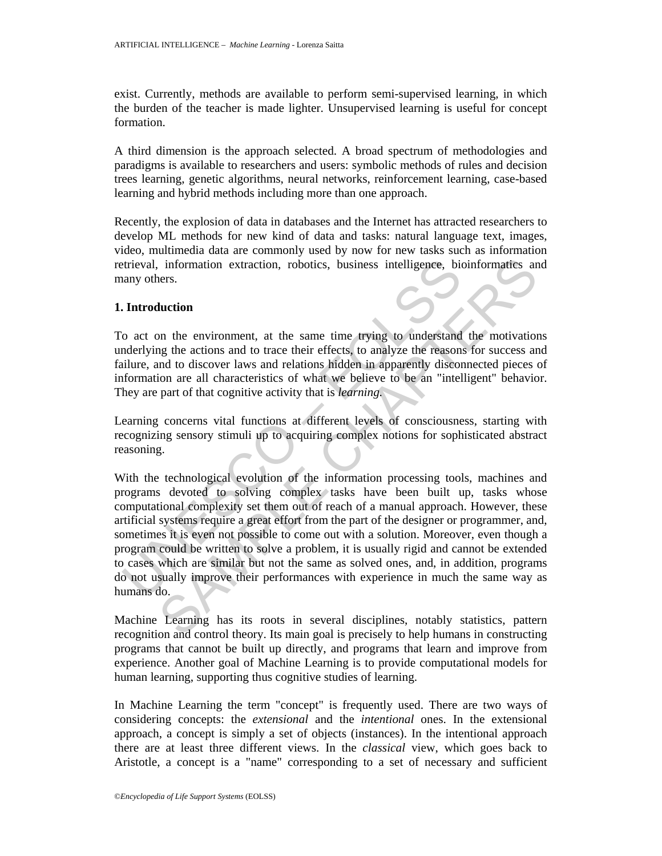exist. Currently, methods are available to perform semi-supervised learning, in which the burden of the teacher is made lighter. Unsupervised learning is useful for concept formation.

A third dimension is the approach selected. A broad spectrum of methodologies and paradigms is available to researchers and users: symbolic methods of rules and decision trees learning, genetic algorithms, neural networks, reinforcement learning, case-based learning and hybrid methods including more than one approach.

Recently, the explosion of data in databases and the Internet has attracted researchers to develop ML methods for new kind of data and tasks: natural language text, images, video, multimedia data are commonly used by now for new tasks such as information retrieval, information extraction, robotics, business intelligence, bioinformatics and many others.

#### **1. Introduction**

To act on the environment, at the same time trying to understand the motivations underlying the actions and to trace their effects, to analyze the reasons for success and failure, and to discover laws and relations hidden in apparently disconnected pieces of information are all characteristics of what we believe to be an "intelligent" behavior. They are part of that cognitive activity that is *learning.*

Learning concerns vital functions at different levels of consciousness, starting with recognizing sensory stimuli up to acquiring complex notions for sophisticated abstract reasoning.

trieval, information extraction, robotics, business intelligence, biomay others.<br> **Introduction**<br>
o act on the environment, at the same time trying to understand<br>
melure, and to discover laws and to race their effects, to information extraction, robotics, business intelligence, bioinformaties an<br>ers.<br> **luction**<br>
on the environment, at the same time trying to understand the motivation<br>
on the environment, at the same time trying to understan With the technological evolution of the information processing tools, machines and programs devoted to solving complex tasks have been built up, tasks whose computational complexity set them out of reach of a manual approach. However, these artificial systems require a great effort from the part of the designer or programmer, and, sometimes it is even not possible to come out with a solution. Moreover, even though a program could be written to solve a problem, it is usually rigid and cannot be extended to cases which are similar but not the same as solved ones, and, in addition, programs do not usually improve their performances with experience in much the same way as humans do.

Machine Learning has its roots in several disciplines, notably statistics, pattern recognition and control theory. Its main goal is precisely to help humans in constructing programs that cannot be built up directly, and programs that learn and improve from experience. Another goal of Machine Learning is to provide computational models for human learning, supporting thus cognitive studies of learning.

In Machine Learning the term "concept" is frequently used. There are two ways of considering concepts: the *extensional* and the *intentional* ones. In the extensional approach, a concept is simply a set of objects (instances). In the intentional approach there are at least three different views. In the *classical* view, which goes back to Aristotle, a concept is a "name" corresponding to a set of necessary and sufficient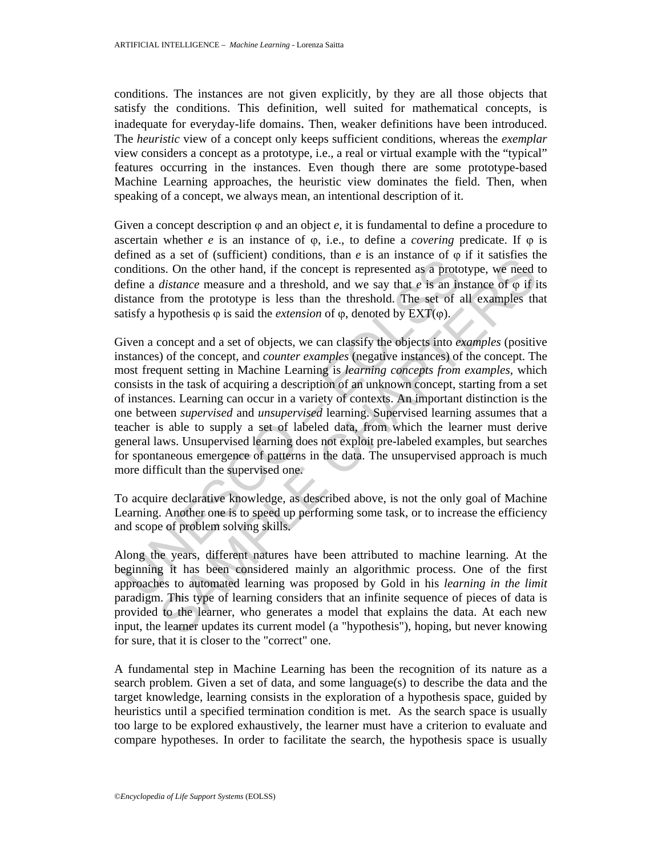conditions. The instances are not given explicitly, by they are all those objects that satisfy the conditions. This definition, well suited for mathematical concepts, is inadequate for everyday-life domains. Then, weaker definitions have been introduced. The *heuristic* view of a concept only keeps sufficient conditions, whereas the *exemplar* view considers a concept as a prototype, i.e., a real or virtual example with the "typical" features occurring in the instances. Even though there are some prototype-based Machine Learning approaches, the heuristic view dominates the field. Then, when speaking of a concept, we always mean, an intentional description of it.

Given a concept description  $\varphi$  and an object  $e$ , it is fundamental to define a procedure to ascertain whether *e* is an instance of  $\varphi$ , i.e., to define a *covering* predicate. If  $\varphi$  is defined as a set of (sufficient) conditions, than  $e$  is an instance of  $\varphi$  if it satisfies the conditions. On the other hand, if the concept is represented as a prototype, we need to define a *distance* measure and a threshold, and we say that *e* is an instance of  $\varphi$  if its distance from the prototype is less than the threshold. The set of all examples that satisfy a hypothesis  $\varphi$  is said the *extension* of  $\varphi$ , denoted by EXT( $\varphi$ ).

Entrace as a set of values and the competitions, that is an instance of we<br>unditions. On the other hand, if the concept is represented as a protof<br>efine a *distance* measure and a threshold, and we say that *e* is an in<br>s is a set of (suitcher) containing, than *e* is an instance of  $\phi$  in a same state of the length the length that is a content hand the concept is represented as a prototype, we meed *distance* measure and a threshold, and Given a concept and a set of objects, we can classify the objects into *examples* (positive instances) of the concept, and *counter examples* (negative instances) of the concept. The most frequent setting in Machine Learning is *learning concepts from examples,* which consists in the task of acquiring a description of an unknown concept, starting from a set of instances. Learning can occur in a variety of contexts. An important distinction is the one between *supervised* and *unsupervised* learning. Supervised learning assumes that a teacher is able to supply a set of labeled data, from which the learner must derive general laws. Unsupervised learning does not exploit pre-labeled examples, but searches for spontaneous emergence of patterns in the data. The unsupervised approach is much more difficult than the supervised one.

To acquire declarative knowledge, as described above, is not the only goal of Machine Learning. Another one is to speed up performing some task, or to increase the efficiency and scope of problem solving skills.

Along the years, different natures have been attributed to machine learning. At the beginning it has been considered mainly an algorithmic process. One of the first approaches to automated learning was proposed by Gold in his *learning in the limit* paradigm. This type of learning considers that an infinite sequence of pieces of data is provided to the learner, who generates a model that explains the data. At each new input, the learner updates its current model (a "hypothesis"), hoping, but never knowing for sure, that it is closer to the "correct" one.

A fundamental step in Machine Learning has been the recognition of its nature as a search problem. Given a set of data, and some language(s) to describe the data and the target knowledge, learning consists in the exploration of a hypothesis space, guided by heuristics until a specified termination condition is met. As the search space is usually too large to be explored exhaustively, the learner must have a criterion to evaluate and compare hypotheses. In order to facilitate the search, the hypothesis space is usually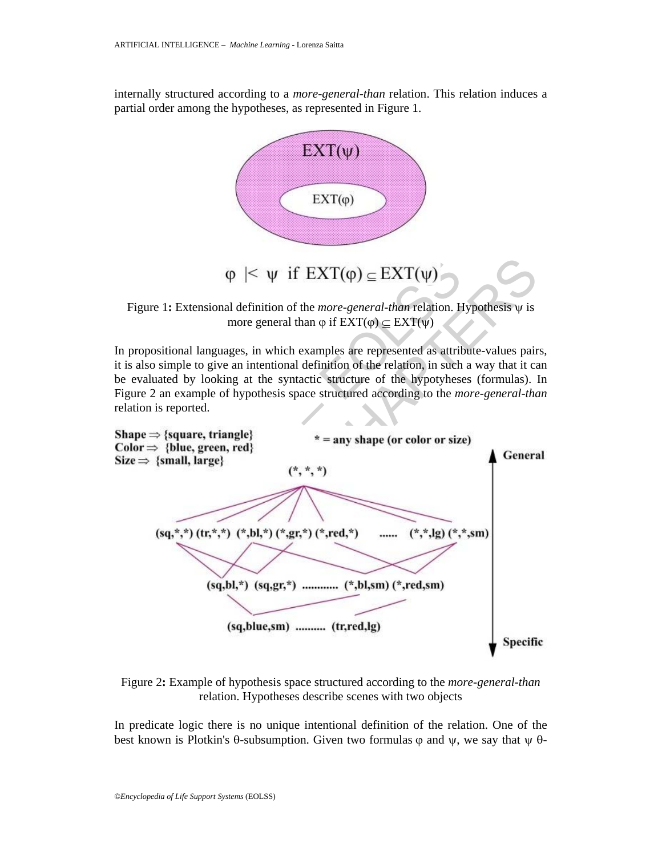internally structured according to a *more-general-than* relation. This relation induces a partial order among the hypotheses, as represented in Figure 1.



Figure 1**:** Extensional definition of the *more-general-than* relation. Hypothesis ψ is more general than  $\varphi$  if  $EXT(\varphi) \subset EXT(\psi)$ 

In propositional languages, in which examples are represented as attribute-values pairs, it is also simple to give an intentional definition of the relation, in such a way that it can be evaluated by looking at the syntactic structure of the hypotyheses (formulas). In Figure 2 an example of hypothesis space structured according to the *more-general-than* relation is reported.



Figure 2**:** Example of hypothesis space structured according to the *more-general-than* relation. Hypotheses describe scenes with two objects

In predicate logic there is no unique intentional definition of the relation. One of the best known is Plotkin's  $\theta$ -subsumption. Given two formulas  $\varphi$  and  $\psi$ , we say that  $\psi$   $\theta$ -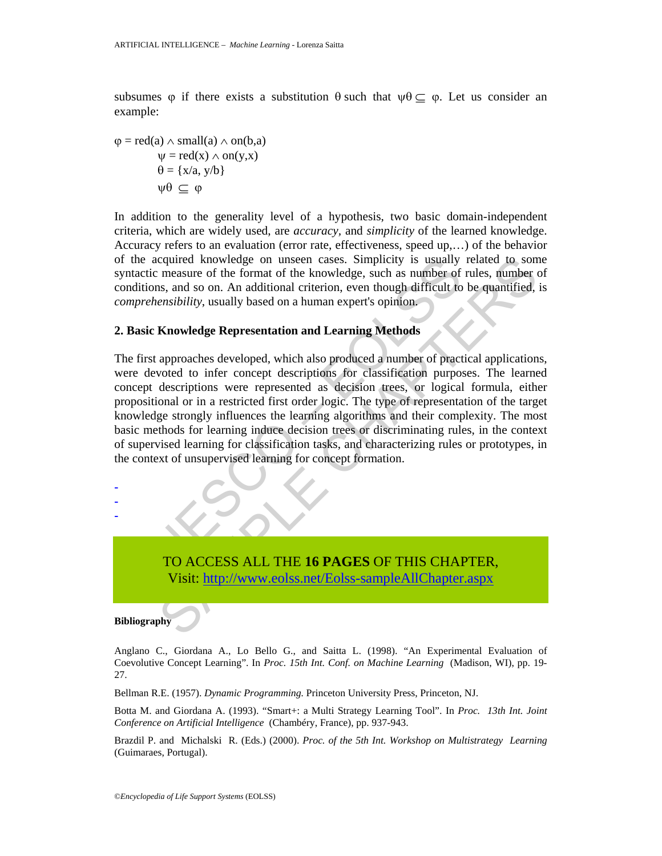subsumes  $\varphi$  if there exists a substitution  $\theta$  such that  $\psi \theta \subset \varphi$ . Let us consider an example:

 $\varphi = \text{red}(a) \wedge \text{small}(a) \wedge \text{on}(b,a)$  $\Psi = \text{red}(x) \wedge \text{on}(y,x)$  $\theta = \{x/a, y/b\}$  $ψθ ⊂ ψ$ 

In addition to the generality level of a hypothesis, two basic domain-independent criteria, which are widely used, are *accuracy,* and *simplicity* of the learned knowledge. Accuracy refers to an evaluation (error rate, effectiveness, speed up,…) of the behavior of the acquired knowledge on unseen cases. Simplicity is usually related to some syntactic measure of the format of the knowledge, such as number of rules, number of conditions, and so on. An additional criterion, even though difficult to be quantified, is *comprehensibility*, usually based on a human expert's opinion.

#### **2. Basic Knowledge Representation and Learning Methods**

The measure of the format of the knowledge on unsern cases. Simplicity is usually match to measure of the format of the knowledge, such as number of onditional criterion, even though difficult to one has the form of the kn couried knowledge on unseen cases. Simplicity is usually related to som<br>measure of the format of the knowledge, such as mumber of rules, number<br>is, and so on. An additional criterion, even though difficult to be quantified The first approaches developed, which also produced a number of practical applications, were devoted to infer concept descriptions for classification purposes. The learned concept descriptions were represented as decision trees, or logical formula, either propositional or in a restricted first order logic. The type of representation of the target knowledge strongly influences the learning algorithms and their complexity. The most basic methods for learning induce decision trees or discriminating rules, in the context of supervised learning for classification tasks, and characterizing rules or prototypes, in the context of unsupervised learning for concept formation.



TO ACCESS ALL THE **16 PAGES** OF THIS CHAPTER, Visit: http://www.eolss.net/Eolss-sampleAllChapter.aspx

**Bibliography** 

Anglano C., Giordana A., Lo Bello G., and Saitta L. (1998). "An Experimental Evaluation of Coevolutive Concept Learning". In *Proc. 15th Int. Conf. on Machine Learning* (Madison, WI), pp. 19- 27.

Bellman R.E. (1957). *Dynamic Programming.* Princeton University Press, Princeton, NJ.

Botta M. and Giordana A. (1993). "Smart+: a Multi Strategy Learning Tool". In *Proc. 13th Int. Joint Conference on Artificial Intelligence* (Chambéry, France), pp. 937-943.

Brazdil P. and Michalski R. (Eds.) (2000). *Proc. of the 5th Int. Workshop on Multistrategy Learning* (Guimaraes, Portugal).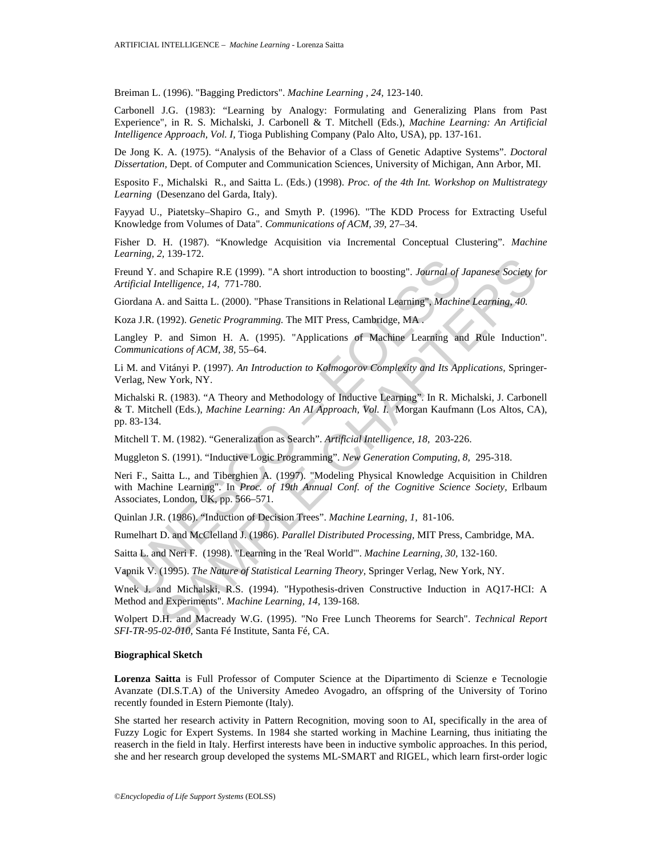Breiman L. (1996). "Bagging Predictors". *Machine Learning , 24,* 123-140.

Carbonell J.G. (1983): "Learning by Analogy: Formulating and Generalizing Plans from Past Experience", in R. S. Michalski, J. Carbonell & T. Mitchell (Eds.), *Machine Learning: An Artificial Intelligence Approach, Vol. I,* Tioga Publishing Company (Palo Alto, USA), pp. 137-161.

De Jong K. A. (1975). "Analysis of the Behavior of a Class of Genetic Adaptive Systems". *Doctoral Dissertation,* Dept. of Computer and Communication Sciences, University of Michigan, Ann Arbor, MI.

Esposito F., Michalski R., and Saitta L. (Eds.) (1998). *Proc. of the 4th Int. Workshop on Multistrategy Learning* (Desenzano del Garda, Italy).

Fayyad U., Piatetsky–Shapiro G., and Smyth P. (1996). "The KDD Process for Extracting Useful Knowledge from Volumes of Data". *Communications of ACM, 39,* 27–34.

Fisher D. H. (1987). "Knowledge Acquisition via Incremental Conceptual Clustering". *Machine Learning, 2,* 139-172.

Freund Y. and Schapire R.E (1999). "A short introduction to boosting". *Journal of Japanese Society for Artificial Intelligence, 14,* 771-780.

Giordana A. and Saitta L. (2000). "Phase Transitions in Relational Learning", *Machine Learning, 40.*

Koza J.R. (1992). *Genetic Programming.* The MIT Press, Cambridge, MA .

Langley P. and Simon H. A. (1995). "Applications of Machine Learning and Rule Induction". *Communications of ACM, 38,* 55–64.

Li M. and Vitányi P. (1997). *An Introduction to Kolmogorov Complexity and Its Applications,* Springer-Verlag, New York, NY.

Michalski R. (1983). "A Theory and Methodology of Inductive Learning". In R. Michalski, J. Carbonell & T. Mitchell (Eds.), *Machine Learning: An AI Approach, Vol. I.* Morgan Kaufmann (Los Altos, CA), pp. 83-134.

Mitchell T. M. (1982). "Generalization as Search". *Artificial Intelligence, 18,* 203-226.

Muggleton S. (1991). "Inductive Logic Programming". *New Generation Computing, 8,* 295-318.

ermany 2, 102 Strain Introduction to boosting". Journal of century, 2, 102 Schapire R.E. (1999). "A short introduction to boosting". Journal of rificial Intelligence, 14, 771-780.<br>
iordana A. and Saitta L. (2000). "Phase T 1, 1977-1.<br>
and Schapire R.E (1999). "A short introduction to boosting". Journal of Japanese Society for<br>
Intelligence, 14, 771-780.<br>
A. and Saitta L. (2000). "Phase Transitions in Relational Learning". Machine Learning, 4 Neri F., Saitta L., and Tiberghien A. (1997). "Modeling Physical Knowledge Acquisition in Children with Machine Learning". In *Proc. of 19th Annual Conf. of the Cognitive Science Society,* Erlbaum Associates, London, UK, pp. 566–571.

Quinlan J.R. (1986). "Induction of Decision Trees". *Machine Learning, 1,* 81-106.

Rumelhart D. and McClelland J. (1986). *Parallel Distributed Processing,* MIT Press, Cambridge, MA.

Saitta L. and Neri F. (1998). "Learning in the 'Real World'". *Machine Learning, 30,* 132-160.

Vapnik V. (1995). *The Nature of Statistical Learning Theory,* Springer Verlag, New York, NY.

Wnek J. and Michalski, R.S. (1994). "Hypothesis-driven Constructive Induction in AQ17-HCI: A Method and Experiments". *Machine Learning, 14,* 139-168.

Wolpert D.H. and Macready W.G. (1995). "No Free Lunch Theorems for Search". *Technical Report SFI-TR-95-02-010,* Santa Fé Institute, Santa Fé, CA.

#### **Biographical Sketch**

**Lorenza Saitta** is Full Professor of Computer Science at the Dipartimento di Scienze e Tecnologie Avanzate (DI.S.T.A) of the University Amedeo Avogadro, an offspring of the University of Torino recently founded in Estern Piemonte (Italy).

She started her research activity in Pattern Recognition, moving soon to AI, specifically in the area of Fuzzy Logic for Expert Systems. In 1984 she started working in Machine Learning, thus initiating the reaserch in the field in Italy. Herfirst interests have been in inductive symbolic approaches. In this period, she and her research group developed the systems ML-SMART and RIGEL, which learn first-order logic